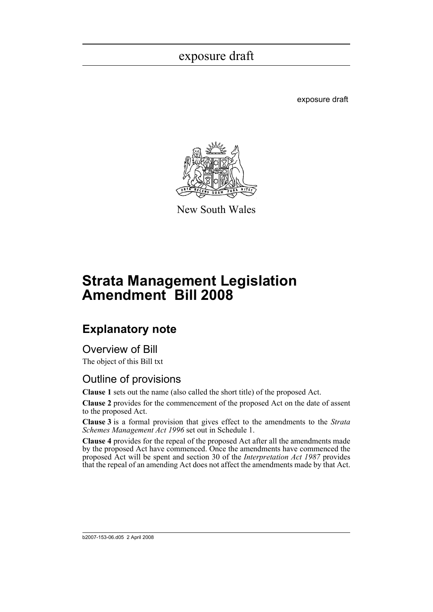exposure draft



New South Wales

# **Strata Management Legislation Amendment Bill 2008**

## **Explanatory note**

Overview of Bill

The object of this Bill txt

## Outline of provisions

**Clause 1** sets out the name (also called the short title) of the proposed Act.

**Clause 2** provides for the commencement of the proposed Act on the date of assent to the proposed Act.

**Clause 3** is a formal provision that gives effect to the amendments to the *Strata Schemes Management Act 1996* set out in Schedule 1.

**Clause 4** provides for the repeal of the proposed Act after all the amendments made by the proposed Act have commenced. Once the amendments have commenced the proposed Act will be spent and section 30 of the *Interpretation Act 1987* provides that the repeal of an amending Act does not affect the amendments made by that Act.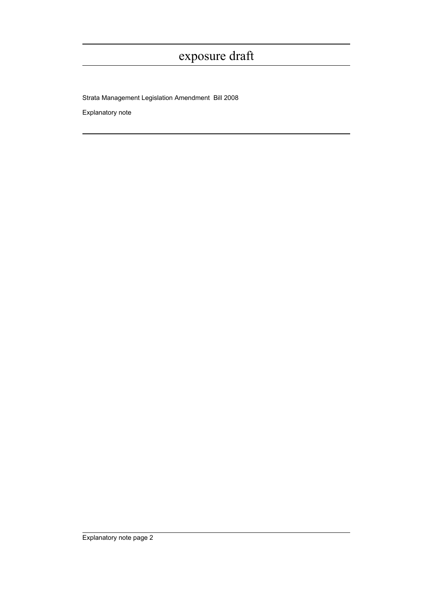Strata Management Legislation Amendment Bill 2008

Explanatory note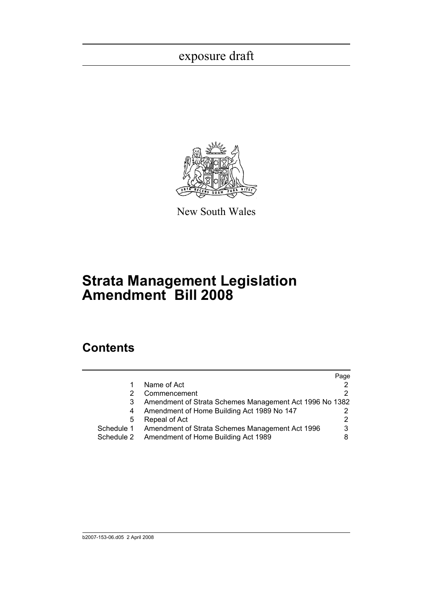

New South Wales

# **Strata Management Legislation Amendment Bill 2008**

## **Contents**

|            |                                                         | Page |
|------------|---------------------------------------------------------|------|
|            | Name of Act                                             |      |
|            | Commencement                                            | 2    |
|            | Amendment of Strata Schemes Management Act 1996 No 1382 |      |
|            | Amendment of Home Building Act 1989 No 147              |      |
| 5          | Repeal of Act                                           | 2.   |
| Schedule 1 | Amendment of Strata Schemes Management Act 1996         | 3    |
| Schedule 2 | Amendment of Home Building Act 1989                     | 8    |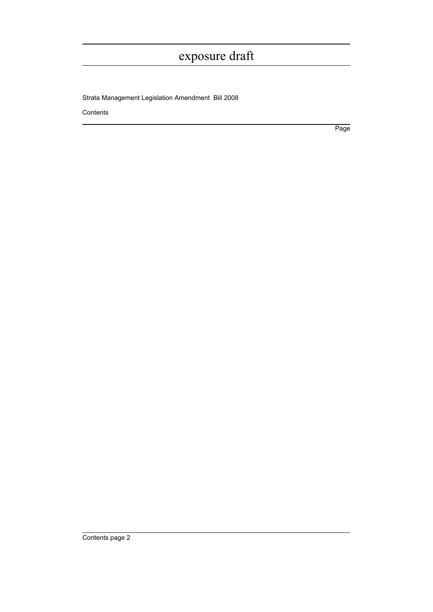Strata Management Legislation Amendment Bill 2008

Contents

Page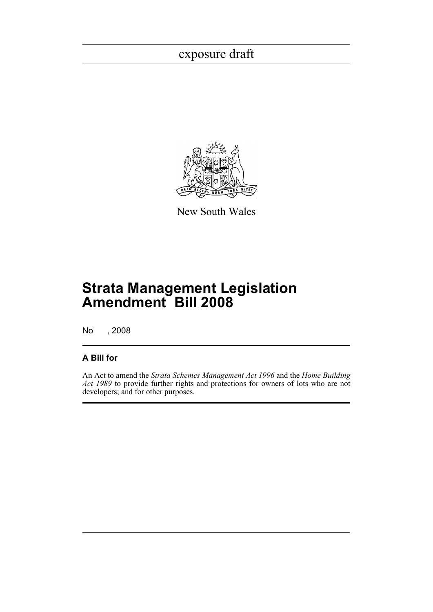

New South Wales

# **Strata Management Legislation Amendment Bill 2008**

No , 2008

### **A Bill for**

An Act to amend the *Strata Schemes Management Act 1996* and the *Home Building Act 1989* to provide further rights and protections for owners of lots who are not developers; and for other purposes.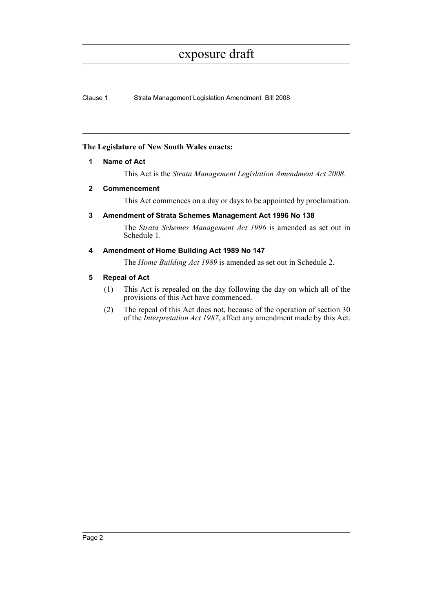Clause 1 Strata Management Legislation Amendment Bill 2008

#### <span id="page-5-0"></span>**The Legislature of New South Wales enacts:**

#### **1 Name of Act**

This Act is the *Strata Management Legislation Amendment Act 2008*.

### <span id="page-5-1"></span>**2 Commencement**

This Act commences on a day or days to be appointed by proclamation.

### <span id="page-5-2"></span>**3 Amendment of Strata Schemes Management Act 1996 No 138**

The *Strata Schemes Management Act 1996* is amended as set out in Schedule 1.

### <span id="page-5-3"></span>**4 Amendment of Home Building Act 1989 No 147**

The *Home Building Act 1989* is amended as set out in Schedule 2.

### <span id="page-5-4"></span>**5 Repeal of Act**

- (1) This Act is repealed on the day following the day on which all of the provisions of this Act have commenced.
- (2) The repeal of this Act does not, because of the operation of section 30 of the *Interpretation Act 1987*, affect any amendment made by this Act.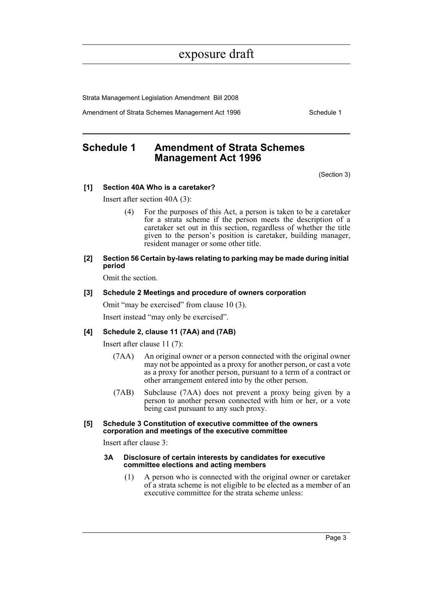Strata Management Legislation Amendment Bill 2008

Amendment of Strata Schemes Management Act 1996 Schedule 1

## <span id="page-6-0"></span>**Schedule 1 Amendment of Strata Schemes Management Act 1996**

(Section 3)

#### **[1] Section 40A Who is a caretaker?**

Insert after section 40A (3):

- (4) For the purposes of this Act, a person is taken to be a caretaker for a strata scheme if the person meets the description of a caretaker set out in this section, regardless of whether the title given to the person's position is caretaker, building manager, resident manager or some other title.
- **[2] Section 56 Certain by-laws relating to parking may be made during initial period**

Omit the section.

#### **[3] Schedule 2 Meetings and procedure of owners corporation**

Omit "may be exercised" from clause 10 (3).

Insert instead "may only be exercised".

#### **[4] Schedule 2, clause 11 (7AA) and (7AB)**

Insert after clause 11 (7):

- (7AA) An original owner or a person connected with the original owner may not be appointed as a proxy for another person, or cast a vote as a proxy for another person, pursuant to a term of a contract or other arrangement entered into by the other person.
- (7AB) Subclause (7AA) does not prevent a proxy being given by a person to another person connected with him or her, or a vote being cast pursuant to any such proxy.

#### **[5] Schedule 3 Constitution of executive committee of the owners corporation and meetings of the executive committee**

Insert after clause 3:

#### **3A Disclosure of certain interests by candidates for executive committee elections and acting members**

(1) A person who is connected with the original owner or caretaker of a strata scheme is not eligible to be elected as a member of an executive committee for the strata scheme unless: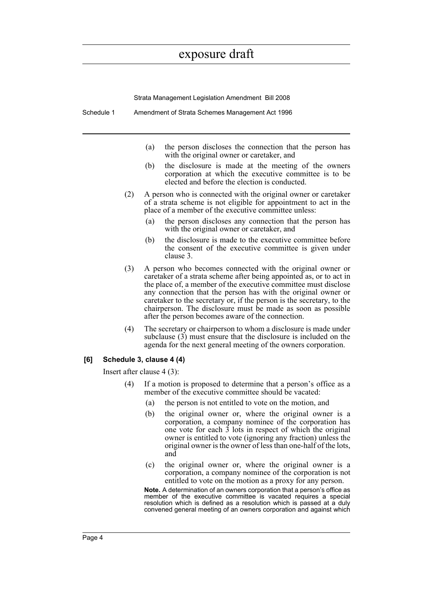Strata Management Legislation Amendment Bill 2008

- Schedule 1 Amendment of Strata Schemes Management Act 1996
	- (a) the person discloses the connection that the person has with the original owner or caretaker, and
	- (b) the disclosure is made at the meeting of the owners corporation at which the executive committee is to be elected and before the election is conducted.
	- (2) A person who is connected with the original owner or caretaker of a strata scheme is not eligible for appointment to act in the place of a member of the executive committee unless:
		- (a) the person discloses any connection that the person has with the original owner or caretaker, and
		- (b) the disclosure is made to the executive committee before the consent of the executive committee is given under clause 3.
	- (3) A person who becomes connected with the original owner or caretaker of a strata scheme after being appointed as, or to act in the place of, a member of the executive committee must disclose any connection that the person has with the original owner or caretaker to the secretary or, if the person is the secretary, to the chairperson. The disclosure must be made as soon as possible after the person becomes aware of the connection.
	- (4) The secretary or chairperson to whom a disclosure is made under subclause (3) must ensure that the disclosure is included on the agenda for the next general meeting of the owners corporation.

#### **[6] Schedule 3, clause 4 (4)**

Insert after clause 4 (3):

- (4) If a motion is proposed to determine that a person's office as a member of the executive committee should be vacated:
	- (a) the person is not entitled to vote on the motion, and
	- (b) the original owner or, where the original owner is a corporation, a company nominee of the corporation has one vote for each 3 lots in respect of which the original owner is entitled to vote (ignoring any fraction) unless the original owner is the owner of less than one-half of the lots, and
	- (c) the original owner or, where the original owner is a corporation, a company nominee of the corporation is not entitled to vote on the motion as a proxy for any person.

**Note.** A determination of an owners corporation that a person's office as member of the executive committee is vacated requires a special resolution which is defined as a resolution which is passed at a duly convened general meeting of an owners corporation and against which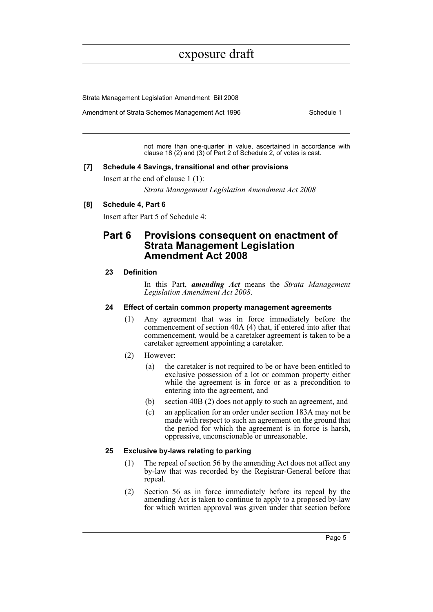Strata Management Legislation Amendment Bill 2008

Amendment of Strata Schemes Management Act 1996 Schedule 1

not more than one-quarter in value, ascertained in accordance with clause 18 (2) and (3) of Part 2 of Schedule 2, of votes is cast.

#### **[7] Schedule 4 Savings, transitional and other provisions**

Insert at the end of clause 1 (1):

*Strata Management Legislation Amendment Act 2008*

#### **[8] Schedule 4, Part 6**

Insert after Part 5 of Schedule 4:

### **Part 6 Provisions consequent on enactment of Strata Management Legislation Amendment Act 2008**

#### **23 Definition**

In this Part, *amending Act* means the *Strata Management Legislation Amendment Act 2008*.

#### **24 Effect of certain common property management agreements**

- (1) Any agreement that was in force immediately before the commencement of section 40A (4) that, if entered into after that commencement, would be a caretaker agreement is taken to be a caretaker agreement appointing a caretaker.
- (2) However:
	- (a) the caretaker is not required to be or have been entitled to exclusive possession of a lot or common property either while the agreement is in force or as a precondition to entering into the agreement, and
	- (b) section 40B (2) does not apply to such an agreement, and
	- (c) an application for an order under section 183A may not be made with respect to such an agreement on the ground that the period for which the agreement is in force is harsh, oppressive, unconscionable or unreasonable.

#### **25 Exclusive by-laws relating to parking**

- (1) The repeal of section 56 by the amending Act does not affect any by-law that was recorded by the Registrar-General before that repeal.
- (2) Section 56 as in force immediately before its repeal by the amending Act is taken to continue to apply to a proposed by-law for which written approval was given under that section before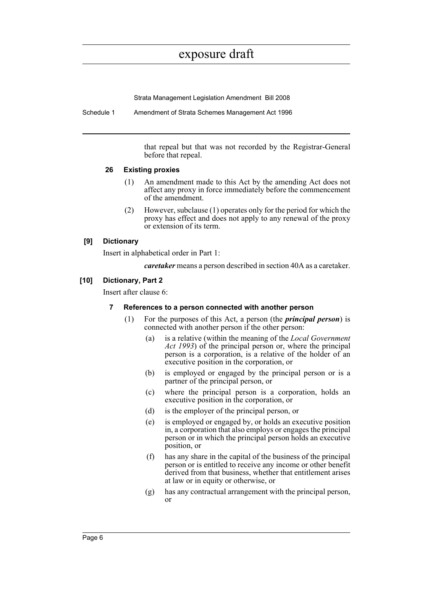Strata Management Legislation Amendment Bill 2008

Schedule 1 Amendment of Strata Schemes Management Act 1996

that repeal but that was not recorded by the Registrar-General before that repeal.

#### **26 Existing proxies**

- (1) An amendment made to this Act by the amending Act does not affect any proxy in force immediately before the commencement of the amendment.
- (2) However, subclause (1) operates only for the period for which the proxy has effect and does not apply to any renewal of the proxy or extension of its term.

### **[9] Dictionary**

Insert in alphabetical order in Part 1:

*caretaker* means a person described in section 40A as a caretaker.

### **[10] Dictionary, Part 2**

Insert after clause 6:

#### **7 References to a person connected with another person**

- (1) For the purposes of this Act, a person (the *principal person*) is connected with another person if the other person:
	- (a) is a relative (within the meaning of the *Local Government Act 1993*) of the principal person or, where the principal person is a corporation, is a relative of the holder of an executive position in the corporation, or
	- (b) is employed or engaged by the principal person or is a partner of the principal person, or
	- (c) where the principal person is a corporation, holds an executive position in the corporation, or
	- (d) is the employer of the principal person, or
	- (e) is employed or engaged by, or holds an executive position in, a corporation that also employs or engages the principal person or in which the principal person holds an executive position, or
	- (f) has any share in the capital of the business of the principal person or is entitled to receive any income or other benefit derived from that business, whether that entitlement arises at law or in equity or otherwise, or
	- (g) has any contractual arrangement with the principal person, or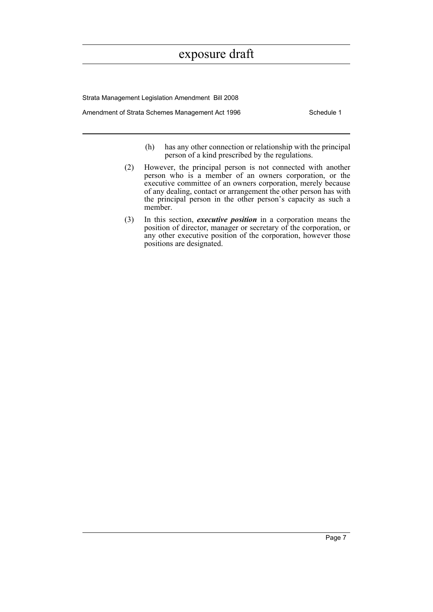Strata Management Legislation Amendment Bill 2008

Amendment of Strata Schemes Management Act 1996 Schedule 1

- (h) has any other connection or relationship with the principal person of a kind prescribed by the regulations.
- (2) However, the principal person is not connected with another person who is a member of an owners corporation, or the executive committee of an owners corporation, merely because of any dealing, contact or arrangement the other person has with the principal person in the other person's capacity as such a member.
- (3) In this section, *executive position* in a corporation means the position of director, manager or secretary of the corporation, or any other executive position of the corporation, however those positions are designated.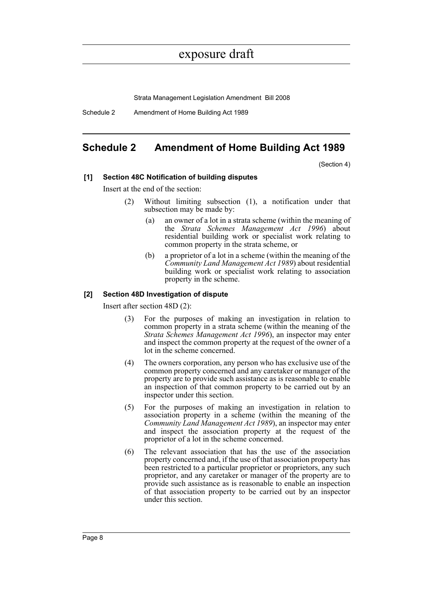Strata Management Legislation Amendment Bill 2008

Schedule 2 Amendment of Home Building Act 1989

## <span id="page-11-0"></span>**Schedule 2 Amendment of Home Building Act 1989**

(Section 4)

#### **[1] Section 48C Notification of building disputes**

Insert at the end of the section:

- (2) Without limiting subsection (1), a notification under that subsection may be made by:
	- (a) an owner of a lot in a strata scheme (within the meaning of the *Strata Schemes Management Act 1996*) about residential building work or specialist work relating to common property in the strata scheme, or
	- (b) a proprietor of a lot in a scheme (within the meaning of the *Community Land Management Act 1989*) about residential building work or specialist work relating to association property in the scheme.

#### **[2] Section 48D Investigation of dispute**

Insert after section 48D (2):

- (3) For the purposes of making an investigation in relation to common property in a strata scheme (within the meaning of the *Strata Schemes Management Act 1996*), an inspector may enter and inspect the common property at the request of the owner of a lot in the scheme concerned.
- (4) The owners corporation, any person who has exclusive use of the common property concerned and any caretaker or manager of the property are to provide such assistance as is reasonable to enable an inspection of that common property to be carried out by an inspector under this section.
- (5) For the purposes of making an investigation in relation to association property in a scheme (within the meaning of the *Community Land Management Act 1989*), an inspector may enter and inspect the association property at the request of the proprietor of a lot in the scheme concerned.
- (6) The relevant association that has the use of the association property concerned and, if the use of that association property has been restricted to a particular proprietor or proprietors, any such proprietor, and any caretaker or manager of the property are to provide such assistance as is reasonable to enable an inspection of that association property to be carried out by an inspector under this section.